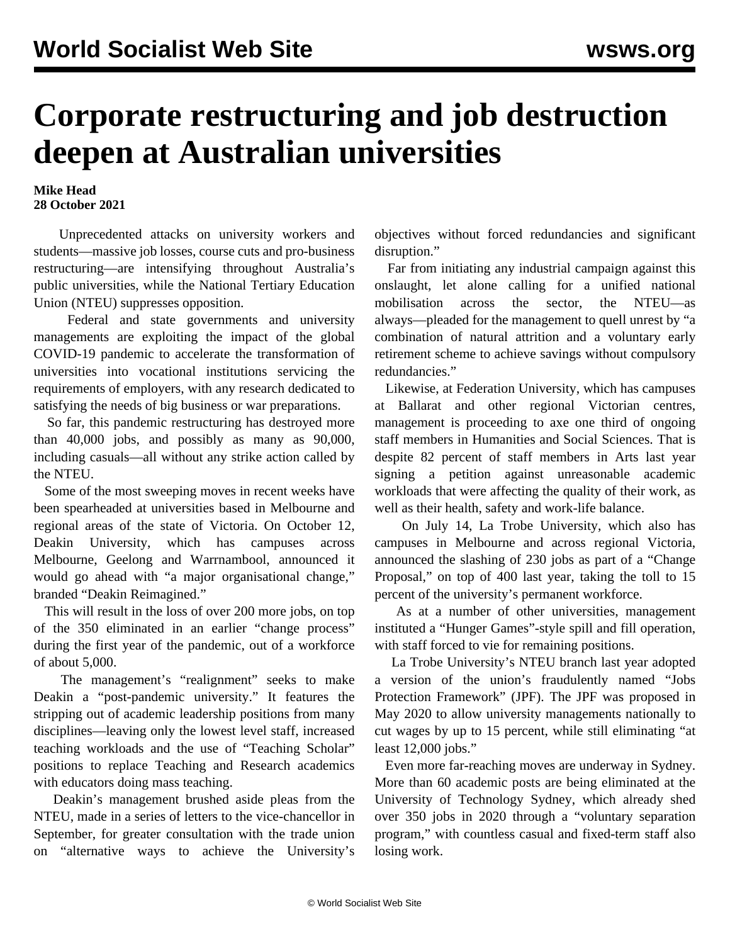## **Corporate restructuring and job destruction deepen at Australian universities**

## **Mike Head 28 October 2021**

 Unprecedented attacks on university workers and students—massive job losses, course cuts and pro-business restructuring—are intensifying throughout Australia's public universities, while the National Tertiary Education Union (NTEU) suppresses opposition.

 Federal and state governments and university managements are exploiting the impact of the global COVID-19 pandemic to accelerate the transformation of universities into vocational institutions servicing the requirements of employers, with any research dedicated to satisfying the needs of big business or war preparations.

 So far, this pandemic restructuring has destroyed more than 40,000 jobs, and possibly as many as 90,000, including casuals—all without any strike action called by the NTEU.

 Some of the most sweeping moves in recent weeks have been spearheaded at universities based in Melbourne and regional areas of the state of Victoria. On October 12, Deakin University, which has campuses across Melbourne, Geelong and Warrnambool, announced it would go ahead with "a major organisational change," branded "Deakin Reimagined."

 This will result in the loss of over 200 more jobs, on top of the 350 eliminated in an earlier "change process" during the first year of the pandemic, out of a workforce of about 5,000.

 The management's "realignment" seeks to make Deakin a "post-pandemic university." It features the stripping out of academic leadership positions from many disciplines—leaving only the lowest level staff, increased teaching workloads and the use of "Teaching Scholar" positions to replace Teaching and Research academics with educators doing mass teaching.

 Deakin's management brushed aside pleas from the NTEU, made in a series of letters to the vice-chancellor in September, for greater consultation with the trade union on "alternative ways to achieve the University's objectives without forced redundancies and significant disruption."

 Far from initiating any industrial campaign against this onslaught, let alone calling for a unified national mobilisation across the sector, the NTEU—as always—pleaded for the management to quell unrest by "a combination of natural attrition and a voluntary early retirement scheme to achieve savings without compulsory redundancies."

 Likewise, at Federation University, which has campuses at Ballarat and other regional Victorian centres, management is proceeding to axe one third of ongoing staff members in Humanities and Social Sciences. That is despite 82 percent of staff members in Arts last year signing a petition against unreasonable academic workloads that were affecting the quality of their work, as well as their health, safety and work-life balance.

 On July 14, La Trobe University, which also has campuses in Melbourne and across regional Victoria, [announced](/en/articles/2021/07/28/latr-j28.html) the slashing of 230 jobs as part of a "Change Proposal," on top of 400 last year, taking the toll to 15 percent of the university's permanent workforce.

 As at a number of other universities, management instituted a "Hunger Games"-style spill and fill operation, with staff forced to vie for remaining positions.

 La Trobe University's NTEU branch last year adopted a version of the union's fraudulently named ["Jobs](/en/articles/2020/05/13/nteu-m13.html) [Protection Framework](/en/articles/2020/05/13/nteu-m13.html)" (JPF). The JPF was proposed in May 2020 to allow university managements nationally to cut wages by up to 15 percent, while still eliminating "at least 12,000 jobs."

 Even more far-reaching moves are underway in Sydney. More than 60 academic posts are being eliminated at the University of Technology Sydney, which already shed over 350 jobs in 2020 through a "voluntary separation program," with countless casual and fixed-term staff also losing work.